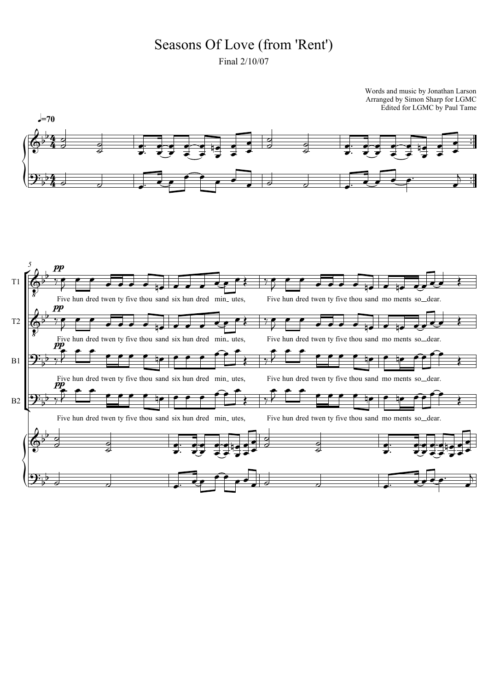## Seasons Of Love (from 'Rent') Final 2/10/07

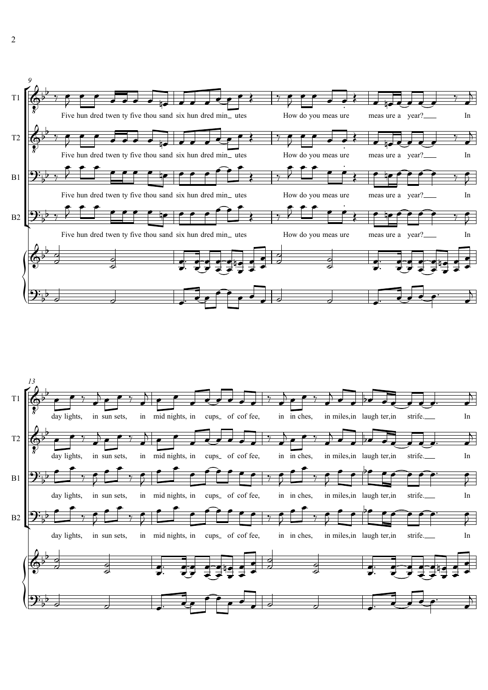

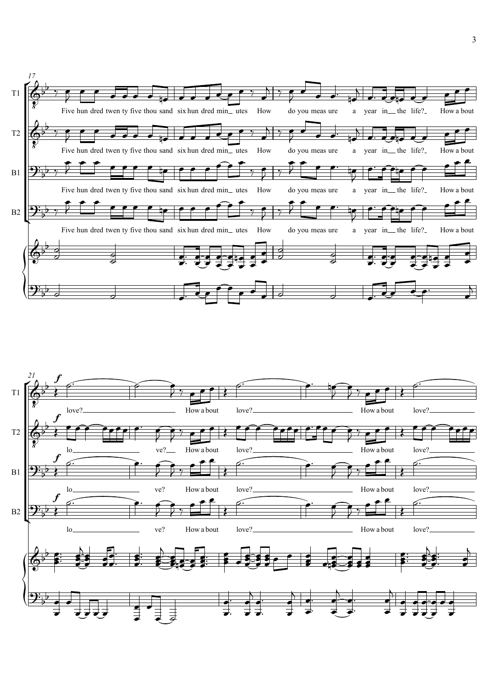

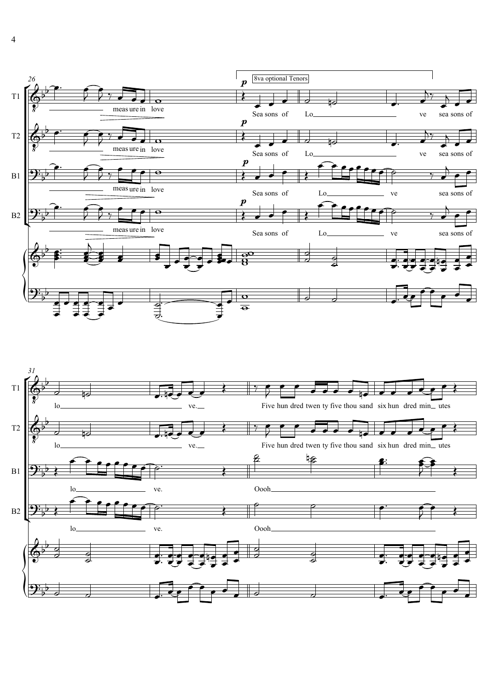

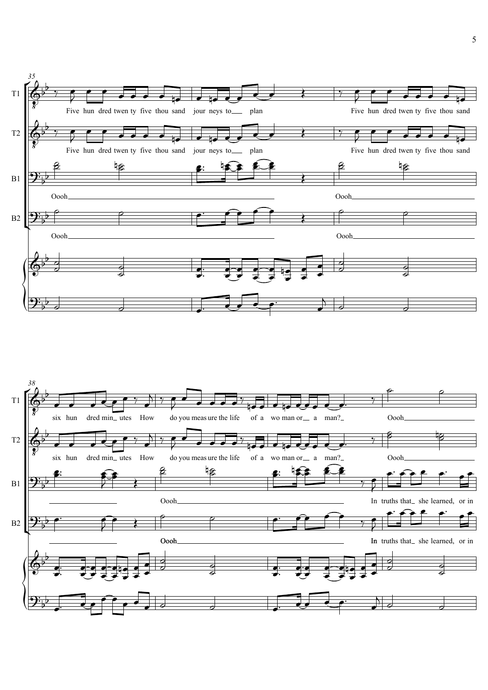

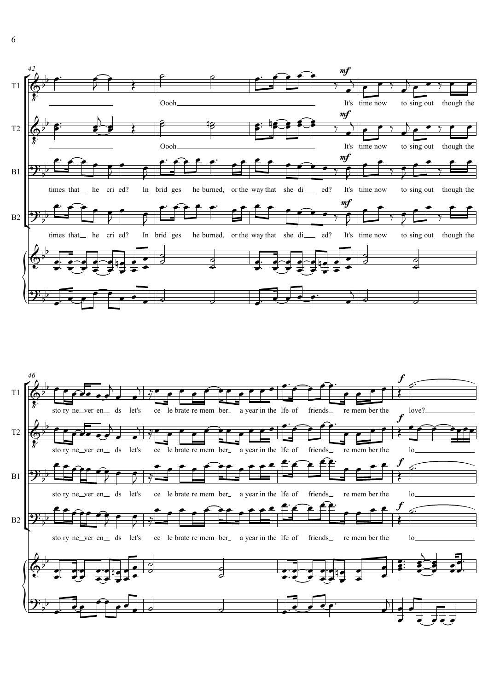



6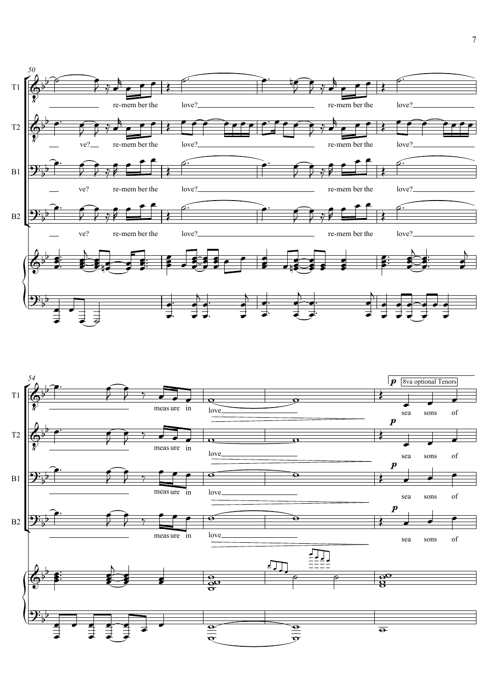